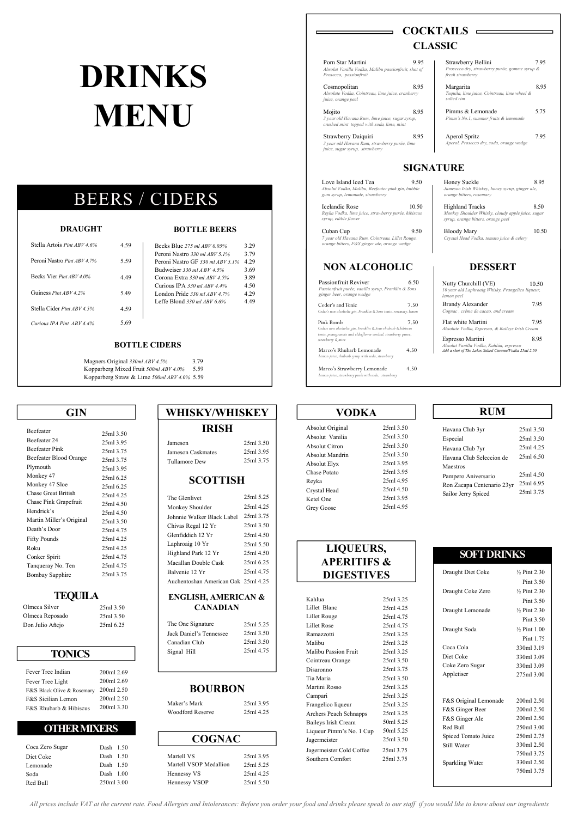25ml 4.50 25ml 3.95 25ml 4.95

Absolut Citron

Absolut Mandrin Absolut Elyx 25ml 3.75 Chase Potato Reyka Crystal Head

> Kahlua Lillet Blanc

25ml 3.25

25ml 4.25 25ml 4.75

#### 25ml 3.50 25ml 3.50 Absolut Vanilia 25ml 3.50 25ml 3.50 25ml 3.95 25ml 3.95 25ml 4.95 Absolut Original **VODKA**

| Beefeater                  | 25ml 3.50 |         |
|----------------------------|-----------|---------|
| Beefeater 24               | 25ml 3.95 | Jameso  |
| <b>Beefeater Pink</b>      | 25ml 3.75 | Jameso  |
| Beefeater Blood Orange     | 25ml 3.75 | Tullam  |
| Plymouth                   | 25ml 3.95 |         |
| Monkey 47                  | 25ml 6.25 |         |
| Monkey 47 Sloe             | 25ml 6.25 |         |
| <b>Chase Great British</b> | 25ml 4.25 |         |
| Chase Pink Grapefruit      | 25ml 4.50 | The Glo |
| Hendrick's                 | 25ml 4.50 | Monke   |
| Martin Miller's Original   | 25ml 3.50 | Johnnie |
| Death's Door               | 25ml 4.75 | Chivas  |
| <b>Fifty Pounds</b>        | 25ml 4.25 | Glenfid |
| Roku                       | 25ml 4.25 | Laphro  |
| Conker Spirit              | 25ml 4.75 | Highlar |
| Tanqueray No. Ten          | 25ml 4.75 | Macalla |
| Bombay Sapphire            | 25ml 3.75 | Balveni |
|                            |           |         |

| Jameson           | 25ml 3.50 |
|-------------------|-----------|
| Jameson Caskmates | 25ml 3.95 |
| Tullamore Dew     | 25ml 3.75 |
|                   |           |

| 'INDI     |                       |
|-----------|-----------------------|
|           | Absolut Original      |
|           | Absolut Vanilia       |
| 25ml 3.50 | <b>Absolut Citron</b> |
| 25ml 3.95 | Absolut Mandrin       |

#### **COGNAC**

| Maker's Mark            | 25ml 3.95 |
|-------------------------|-----------|
| <b>Woodford Reserve</b> | 25ml 4.25 |

#### **BOURBON**

| The One Signature       | 25ml 5.25 |
|-------------------------|-----------|
| Jack Daniel's Tennessee | 25ml 3.50 |
| Canadian Club           | 25ml 3.50 |
| Signal Hill             | 25ml 4.75 |

Mojito 8.95 Pimms & Lemonade 5.75 Pimms & Lemonade 6.75 Pimms & Lemonade 6.75 Pimms & Lemonade 6.75 Pimms & Lemonade 6.75 Pimms & Lemonade 6.75 Pimms & Lemonade 6.75 Pimms & Lemonade 6.75 Pimms & Lemonade 6.75 Pimms & Lemo *Pimm's No.1, summer fruits & lemonade*

> Aperol Spritz 7.95 *Aperol, Prosecco dry, soda, orange wedge*

Passionfruit Reviver 6.50 *Passionfruit purée, vanilla syrup, Franklin & Sons ginger beer, orange wedge*

| <b>RUM</b>               |           |
|--------------------------|-----------|
| Havana Club 3yr          | 25ml 3.50 |
| Especial                 | 25ml 3.50 |
| Havana Club 7yr          | 25ml 4.25 |
| Havana Club Seleccion de | 25ml 6.50 |

Flat white Martini 7.95 *Absolute Vodka, Espresso, & Baileys Irish Cream*

| 25ml 4.50 |
|-----------|
| 25ml 6.95 |
| 25ml 3.75 |
|           |

Love Island Iced Tea 9.50 *Absolut Vodka, Malibu, Beefeater pink gin, bubble gum syrup, lemonade, strawberry*

| Fever Tree Indian          | 200ml 2.69 |                                  |
|----------------------------|------------|----------------------------------|
| Fever Tree Light           | 200ml 2.69 |                                  |
| F&S Black Olive & Rosemary | 200ml 2.50 |                                  |
| F&S Sicilian Lemon         | 200ml 2.50 |                                  |
| F&S Rhubarb & Hibiscus     | 200ml 3.30 | Maker's<br>$W_{\alpha\alpha}$ df |

10.50 Highland Tracks 8.50 and 8.50 and 8.50 and 8.50 and 8.50 and 8.50 and 8.50 and 8.50 and 8.50 and 8.50 and 8.50 and 8.50 and 8.50 and 8.50 and 8.50 and 8.50 and 8.50 and 8.50 and 8.50 and 8.50 and 8.50 and 8.50 and 8. *Monkey Shoulder Whisky, cloudy apple juice, sugar syrup, orange bitters, orange peel*

#### **SOFT DRINKS**

Cuban Cup 10.50 (Bloody Mary 10.50) *Crystal Head Vodka, tomato juice & celery*

| Draught Diet Coke     | $\frac{1}{2}$ Pint 2.30 |  |
|-----------------------|-------------------------|--|
|                       | Pint 3.50               |  |
| Draught Coke Zero     | $\frac{1}{2}$ Pint 2.30 |  |
|                       | Pint 3.50               |  |
| Draught Lemonade      | $\frac{1}{2}$ Pint 2.30 |  |
|                       | Pint 3.50               |  |
| Draught Soda          | $\frac{1}{2}$ Pint 1.00 |  |
|                       | Pint 1.75               |  |
| Coca Cola             | 330ml 3.19              |  |
| Diet Coke             | 330ml 3.09              |  |
| Coke Zero Sugar       | 330ml 3.09              |  |
| Appletiser            | 275ml 3.00              |  |
|                       |                         |  |
|                       |                         |  |
| F&S Original Lemonade | 200ml 2.50              |  |
| F&S Ginger Beer       | 200ml 2.50              |  |
| F&S Ginger Ale        | 200ml 2.50              |  |
| Red Bull              | 250ml 3.00              |  |
| Spiced Tomato Juice   | 250ml 2.75              |  |
| Still Water           | 330ml 2.50              |  |
|                       | 750ml 3.75              |  |
| Sparkling Water       | 330ml 2.50              |  |
|                       | 750ml 3.75              |  |
|                       |                         |  |

|                                     |           | UI VOLUI TIUQU         |                |
|-------------------------------------|-----------|------------------------|----------------|
| The Glenlivet                       | 25ml 5.25 | Ketel One              | 2 <sup>2</sup> |
| Monkey Shoulder                     | 25ml 4.25 | Grey Goose             | 2 <sup>5</sup> |
| Johnnie Walker Black Label          | 25ml 3.75 |                        |                |
| Chivas Regal 12 Yr                  | 25ml 3.50 |                        |                |
| Glenfiddich 12 Yr                   | 25ml 4.50 |                        |                |
| Laphroaig 10 Yr                     | 25ml 5.50 |                        |                |
| Highland Park 12 Yr                 | 25ml 4.50 | LIQUEURS,              |                |
| Macallan Double Cask                | 25ml 6.25 | <b>APERITIFS &amp;</b> |                |
| Balvenie 12 Yr                      | 25ml 4.75 | <b>DIGESTIVES</b>      |                |
| Auchentoshan American Oak 25ml 4.25 |           |                        |                |

# **COCKTAILS CLASSIC**

## **SIGNATURE**

|                                     | Lillet Rouge             | 25ml 4.75 |               |
|-------------------------------------|--------------------------|-----------|---------------|
| 25ml 5.25                           | <b>Lillet Rose</b>       | 25ml 4.75 |               |
| 25ml 3.50                           | Ramazzotti               | 25ml 3.25 | Draught Soda  |
| 25ml 3.50                           | Malibu                   | 25ml 3.25 |               |
| 25ml 4.75                           | Malibu Passion Fruit     | 25ml 3.25 | Coca Cola     |
|                                     | Cointreau Orange         | 25ml 3.50 | Diet Coke     |
|                                     | Disaronno                | 25ml 3.75 | Coke Zero Sug |
|                                     | Tia Maria                | 25ml 3.50 | Appletiser    |
|                                     | Martini Rosso            | 25ml 3.25 |               |
|                                     | Campari                  | 25ml 3.25 |               |
| 25ml 3.95                           | Frangelico liqueur       | 25ml 3.25 | F&S Original  |
| 25ml 4.25                           | Archers Peach Schnapps   | 25ml 3.25 | F&S Ginger B  |
|                                     | Baileys Irish Cream      | 50ml 5.25 | F&S Ginger A  |
|                                     | Liqueur Pimm's No. 1 Cup | 50ml 5.25 | Red Bull      |
|                                     | Jagermeister             | 25ml 3.50 | Spiced Tomato |
|                                     | Jagermeister Cold Coffee | 25ml 3.75 | Still Water   |
| 25ml 3.95<br>25ml 5.25<br>25ml 4.25 | Southern Comfort         | 25ml 3.75 | Sparkling Wat |
|                                     |                          |           |               |

#### Porn Star Martini 9.95 *Absolut Vanilla Vodka, Malibu passionfruit, shot of Prosecco, passionfruit*

*3 year old Havana Rum, lime juice, sugar syrup, crushed mint topped with soda, lime, mint*

Strawberry Daiquiri 8.95 *3 year old Havana Rum, strawberry purée, lime juice, sugar syrup, strawberry*

# **IRISH GIN WHISKY/WHISKEY**

Ceder's and Tonic 7.50 *Ceder's non alcoholic gin, Franklin & Sons tonic, rosemary, lemon*

#### Strawberry Bellini 7.95 *Prosecco dry, strawberry purée, gomme syrup & fresh strawberry*

Margarita *Tequila, lime juice, Cointreau, lime wheel & salted rim* 8.95

#### **NON ALCOHOLIC**

| Nutty Churchill (VE)                              | 10.50 |
|---------------------------------------------------|-------|
| 10 year old Laphroaig Whisky, Frangelico liqueur, |       |
| lemon peel                                        |       |

| <b>Brandy Alexander</b>           | 7.95 |  |
|-----------------------------------|------|--|
| Cognac, crème de cacao, and cream |      |  |

Icelandic Rose *Reyka Vodka, lime juice, strawberry purée, hibiscus syrup, edible flower*

*7 year old Havana Rum, Cointreau, Lillet Rouge, orange bitters, F&S ginger ale, orange wedge*

| Honey Suckle                                    | 8.95 |  |
|-------------------------------------------------|------|--|
| Jameson Irish Whiskey, honey syrup, ginger ale, |      |  |
| <i>orange bitters, rosemary</i>                 |      |  |

Espresso Martini *Absolut Vanilla Vodka, Kahlúa, espresso Add a shot of The Lakes Salted CaramelVodka 25ml 2.50* 8.95

Cosmopolitan 8.95 *Absolute Vodka, Cointreau, lime juice, cranberry juice, orange peel*

# BEERS / CIDERS

*All prices include VAT at the current rate. Food Allergies and Intolerances: Before you order your food and drinks please speak to our staff if you would like to know about our ingredients*

## **SCOTTISH**

#### **ENGLISH, AMERICAN & TEQUILA CANADIAN**

#### **TONICS**

### **OTHER MIXERS**

| Coca Zero Sugar | Dash 1.50   |               |
|-----------------|-------------|---------------|
| Diet Coke       | Dash $1.50$ | Martell       |
| Lemonade        | Dash 1.50   | Martell       |
| Soda            | Dash $1.00$ | <b>Hennes</b> |
| Red Bull        | 250ml 3.00  | <b>Hennes</b> |

# **LIQUEURS, APERITIFS & DIGESTIVES**

| Martell VS             | 25ml 3.95 | ладение.<br>Southerr |
|------------------------|-----------|----------------------|
| Martell VSOP Medallion | 25ml 5.25 |                      |
| Hennessy VS            | 25ml 4.25 |                      |
| Hennessy VSOP          | 25ml 5.50 |                      |

# **DRINKS MENU**

#### **DRAUGHT**

| 4.59 | Becks Blue 275 ml $ABV$ 0.05%    | 3.29 |  |
|------|----------------------------------|------|--|
|      | Peroni Nastro 330 ml ABV 5.1%    | 3.79 |  |
| 5.59 | Peroni Nastro GF 330 ml ABV 5.1% | 4.29 |  |
|      | Budweiser $330$ ml ABV $4.5\%$   | 3.69 |  |
| 4.49 | Corona Extra $330$ ml ABV 4.5%   | 3.89 |  |
|      | Curious IPA 330 ml $ABV$ 4.4%    | 4.50 |  |
| 5.49 | London Pride $330$ ml ABV 4.7%   | 4.29 |  |
|      | Leffe Blond $330$ ml ABV 6.6%    | 449  |  |
| 4.59 |                                  |      |  |

| Stella Artois Pint ABV 46%   | 4 59 |
|------------------------------|------|
| Peroni Nastro Pint ABV 4.7%  | 5.59 |
| Becks Vier Pint ABV 40%      | 449  |
| Guiness <i>Pint ABV 4.2%</i> | 549  |
| Stella Cider Pint ABV 4 5%   | 4.59 |
| Curious IPA Pint ABV 4.4%    |      |

#### **BOTTLE BEERS** Cuban Cup

#### **BOTTLE CIDERS**

Magners Original *330ml ABV 4.5%* 3.79 Kopparberg Mixed Fruit *500ml ABV 4.0%* 5.59 Kopparberg Straw & Lime *500ml ABV 4.0%* 5.59

Jalisco Lilly 9.95

#### **DESSERT**

| Olmeca Silver   | 25ml 3.50 |  |
|-----------------|-----------|--|
| Olmeca Reposado | 25ml 3.50 |  |

Don Julio Añejo

25ml 6.25

Pink Bomb 7.50 *Ceders non alcoholic gin, Franklin & Sons rhubarb & hibiscus tonic, pomegranate and elderflower cordial, strawberry puree, strawberry & mint*

4.50 Marco's Rhubarb Lemonade *Lemon juice, rhubarb syrup with soda, strawberry*

4.50 Marco's Strawberry Lemonade *Lemon juice, strawberry purée with soda, strawberry*